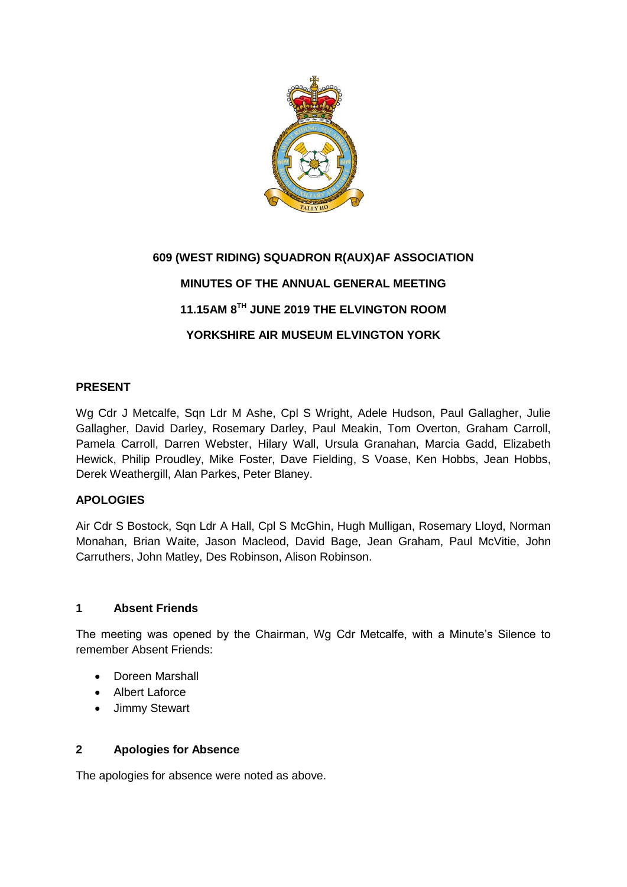

# **609 (WEST RIDING) SQUADRON R(AUX)AF ASSOCIATION MINUTES OF THE ANNUAL GENERAL MEETING 11.15AM 8TH JUNE 2019 THE ELVINGTON ROOM YORKSHIRE AIR MUSEUM ELVINGTON YORK**

# **PRESENT**

Wg Cdr J Metcalfe, Sqn Ldr M Ashe, Cpl S Wright, Adele Hudson, Paul Gallagher, Julie Gallagher, David Darley, Rosemary Darley, Paul Meakin, Tom Overton, Graham Carroll, Pamela Carroll, Darren Webster, Hilary Wall, Ursula Granahan, Marcia Gadd, Elizabeth Hewick, Philip Proudley, Mike Foster, Dave Fielding, S Voase, Ken Hobbs, Jean Hobbs, Derek Weathergill, Alan Parkes, Peter Blaney.

# **APOLOGIES**

Air Cdr S Bostock, Sqn Ldr A Hall, Cpl S McGhin, Hugh Mulligan, Rosemary Lloyd, Norman Monahan, Brian Waite, Jason Macleod, David Bage, Jean Graham, Paul McVitie, John Carruthers, John Matley, Des Robinson, Alison Robinson.

# **1 Absent Friends**

The meeting was opened by the Chairman, Wg Cdr Metcalfe, with a Minute's Silence to remember Absent Friends:

- **•** Doreen Marshall
- Albert Laforce
- Jimmy Stewart

# **2 Apologies for Absence**

The apologies for absence were noted as above.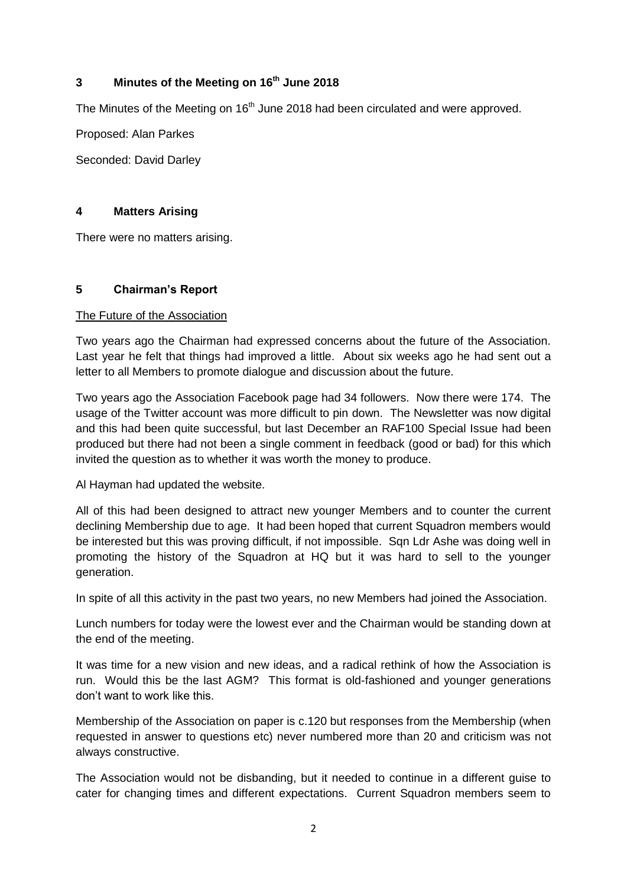# **3 Minutes of the Meeting on 16th June 2018**

The Minutes of the Meeting on 16<sup>th</sup> June 2018 had been circulated and were approved.

Proposed: Alan Parkes

Seconded: David Darley

#### **4 Matters Arising**

There were no matters arising.

## **5 Chairman's Report**

#### The Future of the Association

Two years ago the Chairman had expressed concerns about the future of the Association. Last year he felt that things had improved a little. About six weeks ago he had sent out a letter to all Members to promote dialogue and discussion about the future.

Two years ago the Association Facebook page had 34 followers. Now there were 174. The usage of the Twitter account was more difficult to pin down. The Newsletter was now digital and this had been quite successful, but last December an RAF100 Special Issue had been produced but there had not been a single comment in feedback (good or bad) for this which invited the question as to whether it was worth the money to produce.

Al Hayman had updated the website.

All of this had been designed to attract new younger Members and to counter the current declining Membership due to age. It had been hoped that current Squadron members would be interested but this was proving difficult, if not impossible. Sqn Ldr Ashe was doing well in promoting the history of the Squadron at HQ but it was hard to sell to the younger generation.

In spite of all this activity in the past two years, no new Members had joined the Association.

Lunch numbers for today were the lowest ever and the Chairman would be standing down at the end of the meeting.

It was time for a new vision and new ideas, and a radical rethink of how the Association is run. Would this be the last AGM? This format is old-fashioned and younger generations don't want to work like this.

Membership of the Association on paper is c.120 but responses from the Membership (when requested in answer to questions etc) never numbered more than 20 and criticism was not always constructive.

The Association would not be disbanding, but it needed to continue in a different guise to cater for changing times and different expectations. Current Squadron members seem to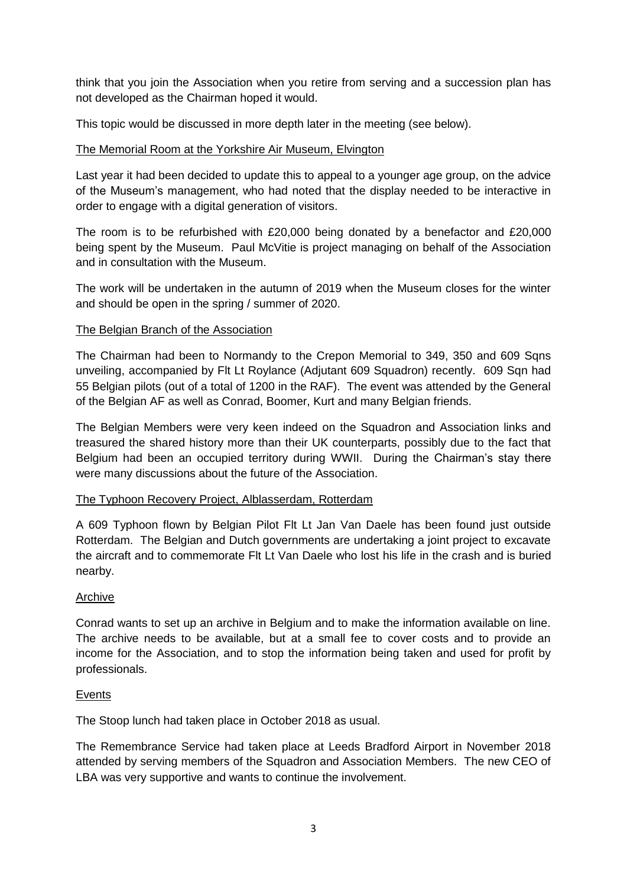think that you join the Association when you retire from serving and a succession plan has not developed as the Chairman hoped it would.

This topic would be discussed in more depth later in the meeting (see below).

## The Memorial Room at the Yorkshire Air Museum, Elvington

Last year it had been decided to update this to appeal to a younger age group, on the advice of the Museum's management, who had noted that the display needed to be interactive in order to engage with a digital generation of visitors.

The room is to be refurbished with £20,000 being donated by a benefactor and £20,000 being spent by the Museum. Paul McVitie is project managing on behalf of the Association and in consultation with the Museum.

The work will be undertaken in the autumn of 2019 when the Museum closes for the winter and should be open in the spring / summer of 2020.

## The Belgian Branch of the Association

The Chairman had been to Normandy to the Crepon Memorial to 349, 350 and 609 Sqns unveiling, accompanied by Flt Lt Roylance (Adjutant 609 Squadron) recently. 609 Sqn had 55 Belgian pilots (out of a total of 1200 in the RAF). The event was attended by the General of the Belgian AF as well as Conrad, Boomer, Kurt and many Belgian friends.

The Belgian Members were very keen indeed on the Squadron and Association links and treasured the shared history more than their UK counterparts, possibly due to the fact that Belgium had been an occupied territory during WWII. During the Chairman's stay there were many discussions about the future of the Association.

# The Typhoon Recovery Project, Alblasserdam, Rotterdam

A 609 Typhoon flown by Belgian Pilot Flt Lt Jan Van Daele has been found just outside Rotterdam. The Belgian and Dutch governments are undertaking a joint project to excavate the aircraft and to commemorate Flt Lt Van Daele who lost his life in the crash and is buried nearby.

#### Archive

Conrad wants to set up an archive in Belgium and to make the information available on line. The archive needs to be available, but at a small fee to cover costs and to provide an income for the Association, and to stop the information being taken and used for profit by professionals.

#### **Events**

The Stoop lunch had taken place in October 2018 as usual.

The Remembrance Service had taken place at Leeds Bradford Airport in November 2018 attended by serving members of the Squadron and Association Members. The new CEO of LBA was very supportive and wants to continue the involvement.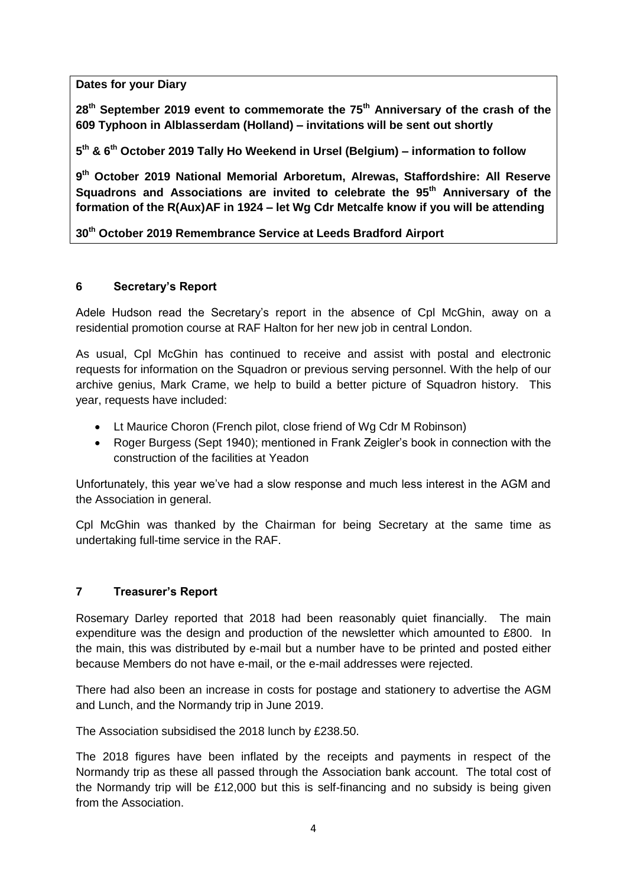**Dates for your Diary**

**28th September 2019 event to commemorate the 75th Anniversary of the crash of the 609 Typhoon in Alblasserdam (Holland) – invitations will be sent out shortly**

**5 th & 6th October 2019 Tally Ho Weekend in Ursel (Belgium) – information to follow**

**9 th October 2019 National Memorial Arboretum, Alrewas, Staffordshire: All Reserve Squadrons and Associations are invited to celebrate the 95th Anniversary of the formation of the R(Aux)AF in 1924 – let Wg Cdr Metcalfe know if you will be attending**

**30th October 2019 Remembrance Service at Leeds Bradford Airport**

# **6 Secretary's Report**

Adele Hudson read the Secretary's report in the absence of Cpl McGhin, away on a residential promotion course at RAF Halton for her new job in central London.

As usual, Cpl McGhin has continued to receive and assist with postal and electronic requests for information on the Squadron or previous serving personnel. With the help of our archive genius, Mark Crame, we help to build a better picture of Squadron history. This year, requests have included:

- Lt Maurice Choron (French pilot, close friend of Wg Cdr M Robinson)
- Roger Burgess (Sept 1940); mentioned in Frank Zeigler's book in connection with the construction of the facilities at Yeadon

Unfortunately, this year we've had a slow response and much less interest in the AGM and the Association in general.

Cpl McGhin was thanked by the Chairman for being Secretary at the same time as undertaking full-time service in the RAF.

# **7 Treasurer's Report**

Rosemary Darley reported that 2018 had been reasonably quiet financially. The main expenditure was the design and production of the newsletter which amounted to £800. In the main, this was distributed by e-mail but a number have to be printed and posted either because Members do not have e-mail, or the e-mail addresses were rejected.

There had also been an increase in costs for postage and stationery to advertise the AGM and Lunch, and the Normandy trip in June 2019.

The Association subsidised the 2018 lunch by £238.50.

The 2018 figures have been inflated by the receipts and payments in respect of the Normandy trip as these all passed through the Association bank account. The total cost of the Normandy trip will be £12,000 but this is self-financing and no subsidy is being given from the Association.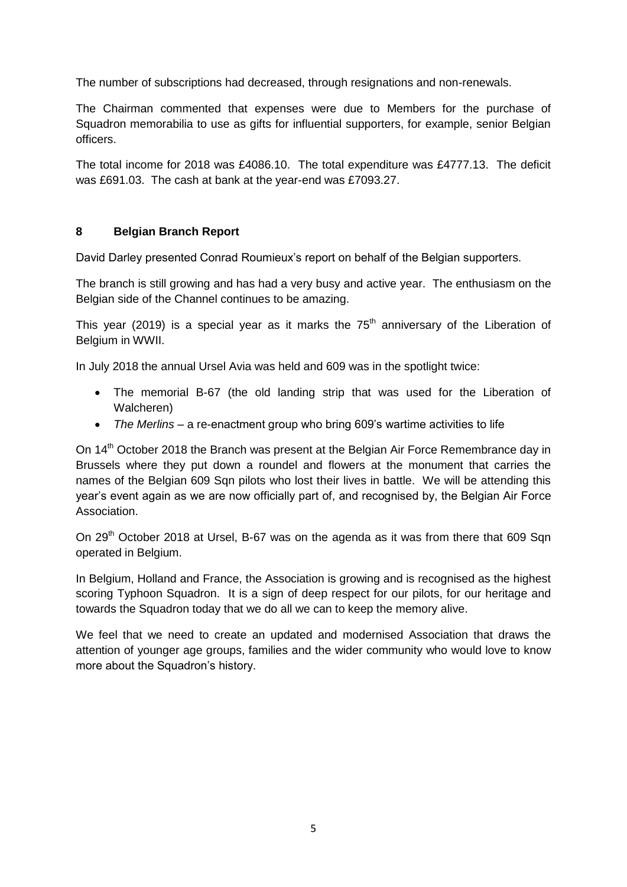The number of subscriptions had decreased, through resignations and non-renewals.

The Chairman commented that expenses were due to Members for the purchase of Squadron memorabilia to use as gifts for influential supporters, for example, senior Belgian officers.

The total income for 2018 was £4086.10. The total expenditure was £4777.13. The deficit was £691.03. The cash at bank at the year-end was £7093.27.

## **8 Belgian Branch Report**

David Darley presented Conrad Roumieux's report on behalf of the Belgian supporters.

The branch is still growing and has had a very busy and active year. The enthusiasm on the Belgian side of the Channel continues to be amazing.

This year (2019) is a special year as it marks the  $75<sup>th</sup>$  anniversary of the Liberation of Belgium in WWII.

In July 2018 the annual Ursel Avia was held and 609 was in the spotlight twice:

- The memorial B-67 (the old landing strip that was used for the Liberation of Walcheren)
- The Merlins a re-enactment group who bring 609's wartime activities to life

On 14<sup>th</sup> October 2018 the Branch was present at the Belgian Air Force Remembrance day in Brussels where they put down a roundel and flowers at the monument that carries the names of the Belgian 609 Sqn pilots who lost their lives in battle. We will be attending this year's event again as we are now officially part of, and recognised by, the Belgian Air Force Association.

On 29<sup>th</sup> October 2018 at Ursel, B-67 was on the agenda as it was from there that 609 Sqn operated in Belgium.

In Belgium, Holland and France, the Association is growing and is recognised as the highest scoring Typhoon Squadron. It is a sign of deep respect for our pilots, for our heritage and towards the Squadron today that we do all we can to keep the memory alive.

We feel that we need to create an updated and modernised Association that draws the attention of younger age groups, families and the wider community who would love to know more about the Squadron's history.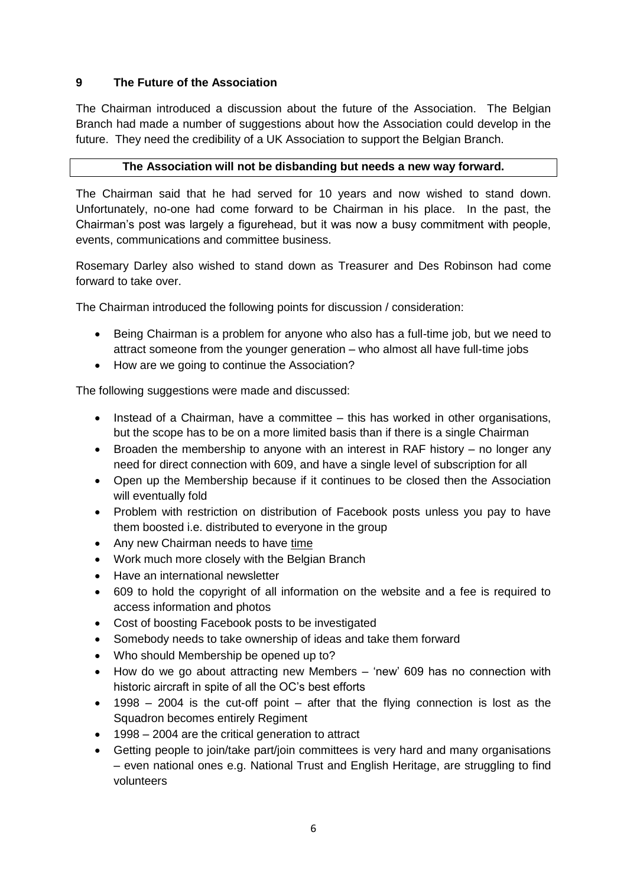# **9 The Future of the Association**

The Chairman introduced a discussion about the future of the Association. The Belgian Branch had made a number of suggestions about how the Association could develop in the future. They need the credibility of a UK Association to support the Belgian Branch.

# **The Association will not be disbanding but needs a new way forward.**

The Chairman said that he had served for 10 years and now wished to stand down. Unfortunately, no-one had come forward to be Chairman in his place. In the past, the Chairman's post was largely a figurehead, but it was now a busy commitment with people, events, communications and committee business.

Rosemary Darley also wished to stand down as Treasurer and Des Robinson had come forward to take over.

The Chairman introduced the following points for discussion / consideration:

- Being Chairman is a problem for anyone who also has a full-time job, but we need to attract someone from the younger generation – who almost all have full-time jobs
- How are we going to continue the Association?

The following suggestions were made and discussed:

- Instead of a Chairman, have a committee this has worked in other organisations, but the scope has to be on a more limited basis than if there is a single Chairman
- Broaden the membership to anyone with an interest in RAF history no longer any need for direct connection with 609, and have a single level of subscription for all
- Open up the Membership because if it continues to be closed then the Association will eventually fold
- Problem with restriction on distribution of Facebook posts unless you pay to have them boosted i.e. distributed to everyone in the group
- Any new Chairman needs to have time
- Work much more closely with the Belgian Branch
- Have an international newsletter
- 609 to hold the copyright of all information on the website and a fee is required to access information and photos
- Cost of boosting Facebook posts to be investigated
- Somebody needs to take ownership of ideas and take them forward
- Who should Membership be opened up to?
- How do we go about attracting new Members 'new' 609 has no connection with historic aircraft in spite of all the OC's best efforts
- $\bullet$  1998 2004 is the cut-off point after that the flying connection is lost as the Squadron becomes entirely Regiment
- 1998 2004 are the critical generation to attract
- Getting people to join/take part/join committees is very hard and many organisations – even national ones e.g. National Trust and English Heritage, are struggling to find volunteers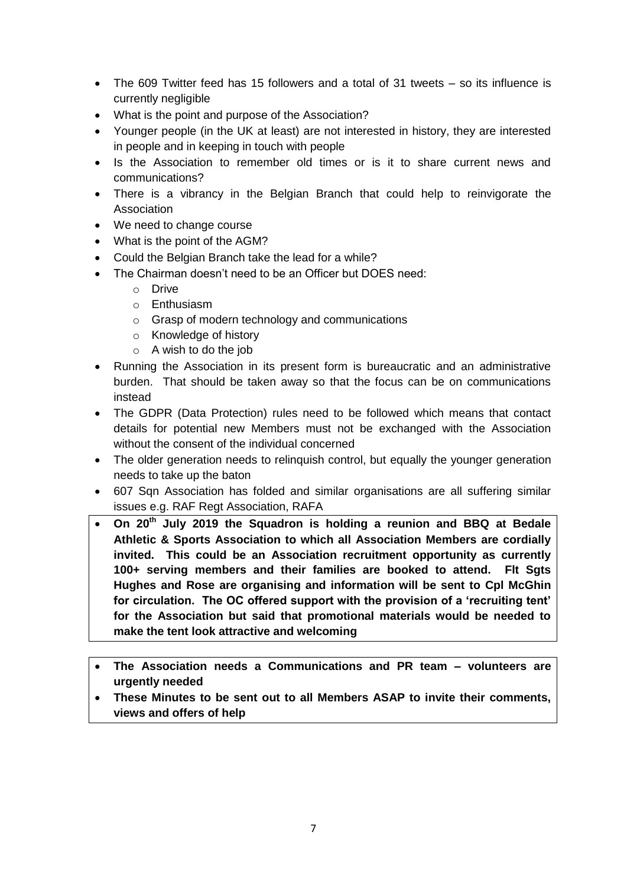- The 609 Twitter feed has 15 followers and a total of 31 tweets so its influence is currently negligible
- What is the point and purpose of the Association?
- Younger people (in the UK at least) are not interested in history, they are interested in people and in keeping in touch with people
- Is the Association to remember old times or is it to share current news and communications?
- There is a vibrancy in the Belgian Branch that could help to reinvigorate the Association
- We need to change course
- What is the point of the AGM?
- Could the Belgian Branch take the lead for a while?
- The Chairman doesn't need to be an Officer but DOES need:
	- o Drive
	- o Enthusiasm
	- o Grasp of modern technology and communications
	- o Knowledge of history
	- $\circ$  A wish to do the job
- Running the Association in its present form is bureaucratic and an administrative burden. That should be taken away so that the focus can be on communications instead
- The GDPR (Data Protection) rules need to be followed which means that contact details for potential new Members must not be exchanged with the Association without the consent of the individual concerned
- The older generation needs to relinguish control, but equally the younger generation needs to take up the baton
- 607 Sqn Association has folded and similar organisations are all suffering similar issues e.g. RAF Regt Association, RAFA
- **On 20th July 2019 the Squadron is holding a reunion and BBQ at Bedale Athletic & Sports Association to which all Association Members are cordially invited. This could be an Association recruitment opportunity as currently 100+ serving members and their families are booked to attend. Flt Sgts Hughes and Rose are organising and information will be sent to Cpl McGhin for circulation. The OC offered support with the provision of a 'recruiting tent' for the Association but said that promotional materials would be needed to make the tent look attractive and welcoming**
- **The Association needs a Communications and PR team – volunteers are urgently needed**
- **These Minutes to be sent out to all Members ASAP to invite their comments, views and offers of help**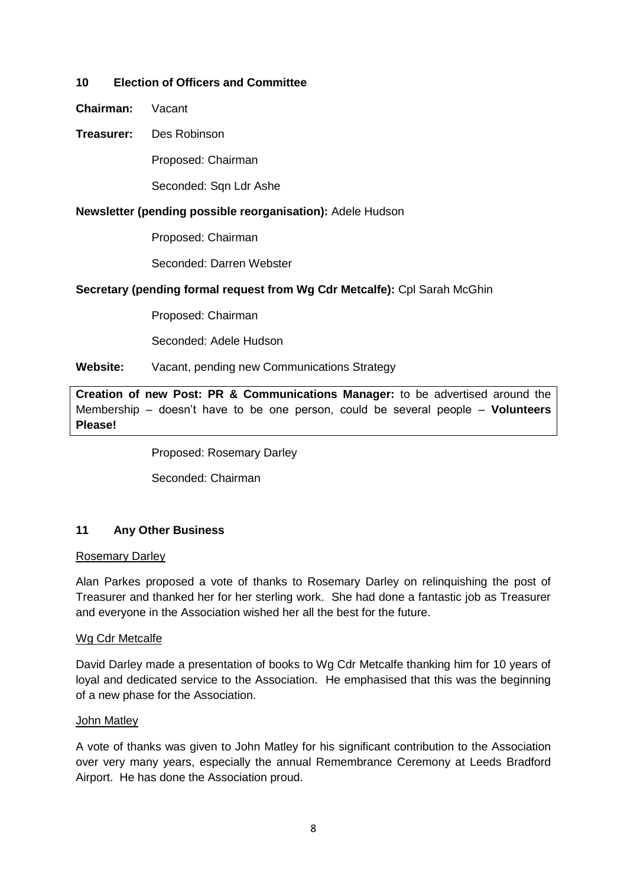#### **10 Election of Officers and Committee**

- **Chairman:** Vacant
- **Treasurer:** Des Robinson

Proposed: Chairman

Seconded: Sqn Ldr Ashe

#### **Newsletter (pending possible reorganisation):** Adele Hudson

Proposed: Chairman

Seconded: Darren Webster

#### **Secretary (pending formal request from Wg Cdr Metcalfe):** Cpl Sarah McGhin

Proposed: Chairman

Seconded: Adele Hudson

**Website:** Vacant, pending new Communications Strategy

**Creation of new Post: PR & Communications Manager:** to be advertised around the Membership – doesn't have to be one person, could be several people – **Volunteers Please!**

Proposed: Rosemary Darley

Seconded: Chairman

#### **11 Any Other Business**

#### Rosemary Darley

Alan Parkes proposed a vote of thanks to Rosemary Darley on relinquishing the post of Treasurer and thanked her for her sterling work. She had done a fantastic job as Treasurer and everyone in the Association wished her all the best for the future.

#### Wg Cdr Metcalfe

David Darley made a presentation of books to Wg Cdr Metcalfe thanking him for 10 years of loyal and dedicated service to the Association. He emphasised that this was the beginning of a new phase for the Association.

#### John Matley

A vote of thanks was given to John Matley for his significant contribution to the Association over very many years, especially the annual Remembrance Ceremony at Leeds Bradford Airport. He has done the Association proud.